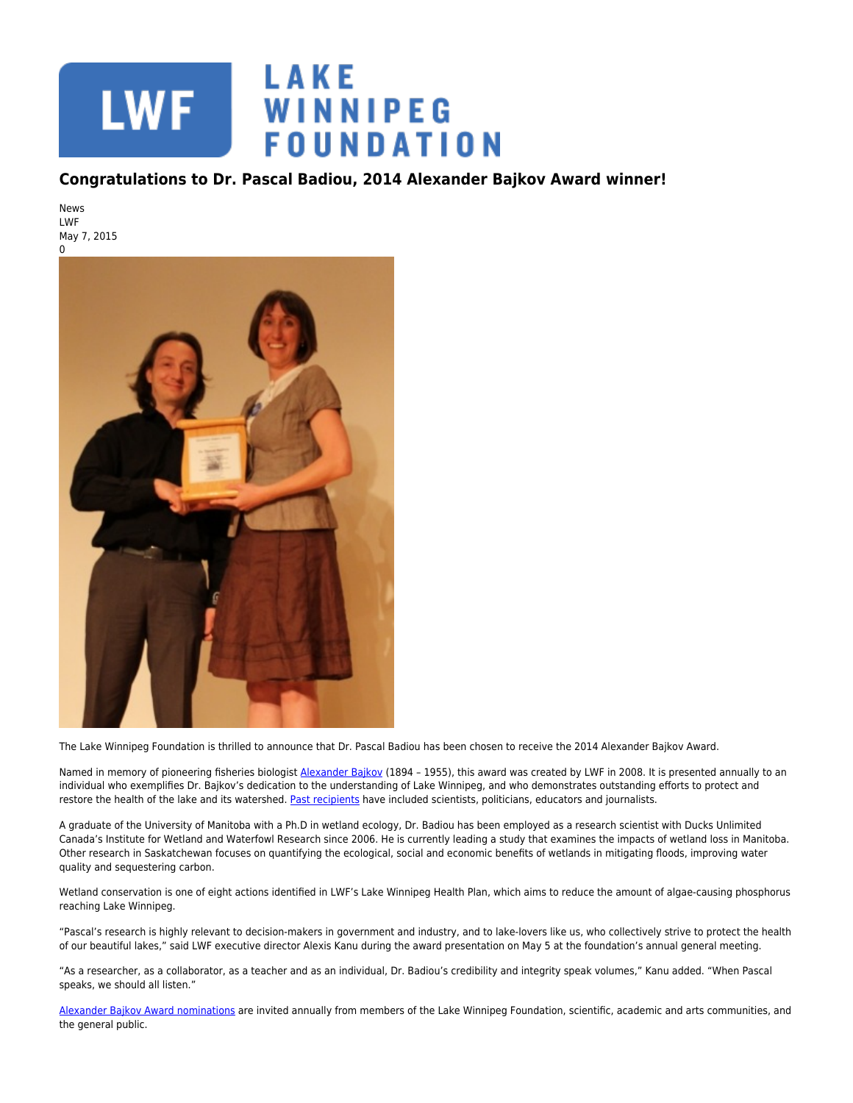

## **Congratulations to Dr. Pascal Badiou, 2014 Alexander Bajkov Award winner!**

News LWF May 7, 2015



The Lake Winnipeg Foundation is thrilled to announce that Dr. Pascal Badiou has been chosen to receive the 2014 Alexander Bajkov Award.

Named in memory of pioneering fisheries biologist [Alexander Bajkov](http://www.lakewinnipegfoundation.org/about-alexander-bajkov) (1894 - 1955), this award was created by LWF in 2008. It is presented annually to an individual who exemplifies Dr. Bajkov's dedication to the understanding of Lake Winnipeg, and who demonstrates outstanding efforts to protect and restore the health of the lake and its watershed. [Past recipients](http://www.lakewinnipegfoundation.org/past-winners) have included scientists, politicians, educators and journalists.

A graduate of the University of Manitoba with a Ph.D in wetland ecology, Dr. Badiou has been employed as a research scientist with Ducks Unlimited Canada's Institute for Wetland and Waterfowl Research since 2006. He is currently leading a study that examines the impacts of wetland loss in Manitoba. Other research in Saskatchewan focuses on quantifying the ecological, social and economic benefits of wetlands in mitigating floods, improving water quality and sequestering carbon.

Wetland conservation is one of eight actions identified in LWF's Lake Winnipeg Health Plan, which aims to reduce the amount of algae-causing phosphorus reaching Lake Winnipeg.

"Pascal's research is highly relevant to decision-makers in government and industry, and to lake-lovers like us, who collectively strive to protect the health of our beautiful lakes," said LWF executive director Alexis Kanu during the award presentation on May 5 at the foundation's annual general meeting.

"As a researcher, as a collaborator, as a teacher and as an individual, Dr. Badiou's credibility and integrity speak volumes," Kanu added. "When Pascal speaks, we should all listen."

[Alexander Bajkov Award nominations](http://www.lakewinnipegfoundation.org/alexander-bajkov-award) are invited annually from members of the Lake Winnipeg Foundation, scientific, academic and arts communities, and the general public.